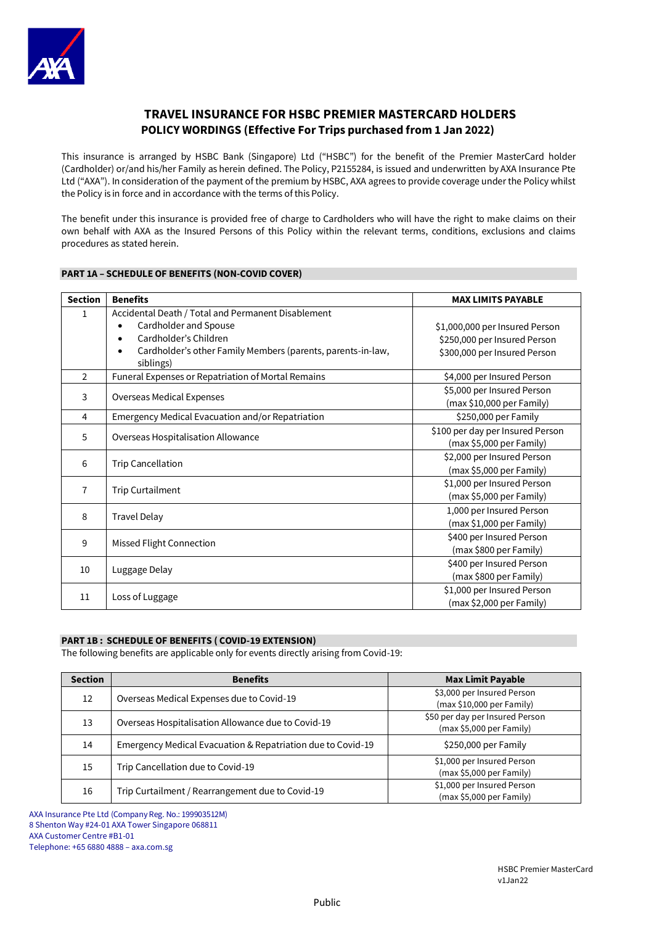

# **TRAVEL INSURANCE FOR HSBC PREMIER MASTERCARD HOLDERS POLICY WORDINGS (Effective For Trips purchased from 1 Jan 2022)**

This insurance is arranged by HSBC Bank (Singapore) Ltd ("HSBC") for the benefit of the Premier MasterCard holder (Cardholder) or/and his/her Family as herein defined. The Policy, P2155284, is issued and underwritten by AXA Insurance Pte Ltd ("AXA"). In consideration of the payment of the premium by HSBC, AXA agrees to provide coverage under the Policy whilst the Policy is in force and in accordance with the terms of this Policy.

The benefit under this insurance is provided free of charge to Cardholders who will have the right to make claims on their own behalf with AXA as the Insured Persons of this Policy within the relevant terms, conditions, exclusions and claims procedures as stated herein.

## **PART 1A – SCHEDULE OF BENEFITS (NON-COVID COVER)**

| <b>Section</b> | <b>Benefits</b>                                                                                                                                                                                                         | <b>MAX LIMITS PAYABLE</b>                                                                      |
|----------------|-------------------------------------------------------------------------------------------------------------------------------------------------------------------------------------------------------------------------|------------------------------------------------------------------------------------------------|
| 1              | Accidental Death / Total and Permanent Disablement<br>Cardholder and Spouse<br>$\bullet$<br>Cardholder's Children<br>$\bullet$<br>Cardholder's other Family Members (parents, parents-in-law,<br>$\bullet$<br>siblings) | \$1,000,000 per Insured Person<br>\$250,000 per Insured Person<br>\$300,000 per Insured Person |
| $\overline{2}$ | Funeral Expenses or Repatriation of Mortal Remains                                                                                                                                                                      | \$4,000 per Insured Person                                                                     |
| 3              | Overseas Medical Expenses                                                                                                                                                                                               | \$5,000 per Insured Person<br>(max \$10,000 per Family)                                        |
| 4              | Emergency Medical Evacuation and/or Repatriation                                                                                                                                                                        | \$250,000 per Family                                                                           |
| 5              | Overseas Hospitalisation Allowance                                                                                                                                                                                      | \$100 per day per Insured Person<br>(max \$5,000 per Family)                                   |
| 6              | <b>Trip Cancellation</b>                                                                                                                                                                                                | \$2,000 per Insured Person<br>(max \$5,000 per Family)                                         |
| $\overline{7}$ | <b>Trip Curtailment</b>                                                                                                                                                                                                 | \$1,000 per Insured Person<br>(max \$5,000 per Family)                                         |
| 8              | <b>Travel Delay</b>                                                                                                                                                                                                     | 1,000 per Insured Person<br>(max \$1,000 per Family)                                           |
| 9              | Missed Flight Connection                                                                                                                                                                                                | \$400 per Insured Person<br>(max \$800 per Family)                                             |
| 10             | Luggage Delay                                                                                                                                                                                                           | \$400 per Insured Person<br>(max \$800 per Family)                                             |
| 11             | Loss of Luggage                                                                                                                                                                                                         | \$1,000 per Insured Person<br>(max \$2,000 per Family)                                         |

## **PART 1B : SCHEDULE OF BENEFITS ( COVID-19 EXTENSION)**

The following benefits are applicable only for events directly arising from Covid-19:

| <b>Section</b> | <b>Benefits</b>                                             | <b>Max Limit Payable</b>                                    |
|----------------|-------------------------------------------------------------|-------------------------------------------------------------|
| 12             | Overseas Medical Expenses due to Covid-19                   | \$3,000 per Insured Person<br>(max \$10,000 per Family)     |
| 13             | Overseas Hospitalisation Allowance due to Covid-19          | \$50 per day per Insured Person<br>(max \$5,000 per Family) |
| 14             | Emergency Medical Evacuation & Repatriation due to Covid-19 | \$250,000 per Family                                        |
| 15             | Trip Cancellation due to Covid-19                           | \$1,000 per Insured Person<br>(max \$5,000 per Family)      |
| 16             | Trip Curtailment / Rearrangement due to Covid-19            | \$1,000 per Insured Person<br>(max \$5,000 per Family)      |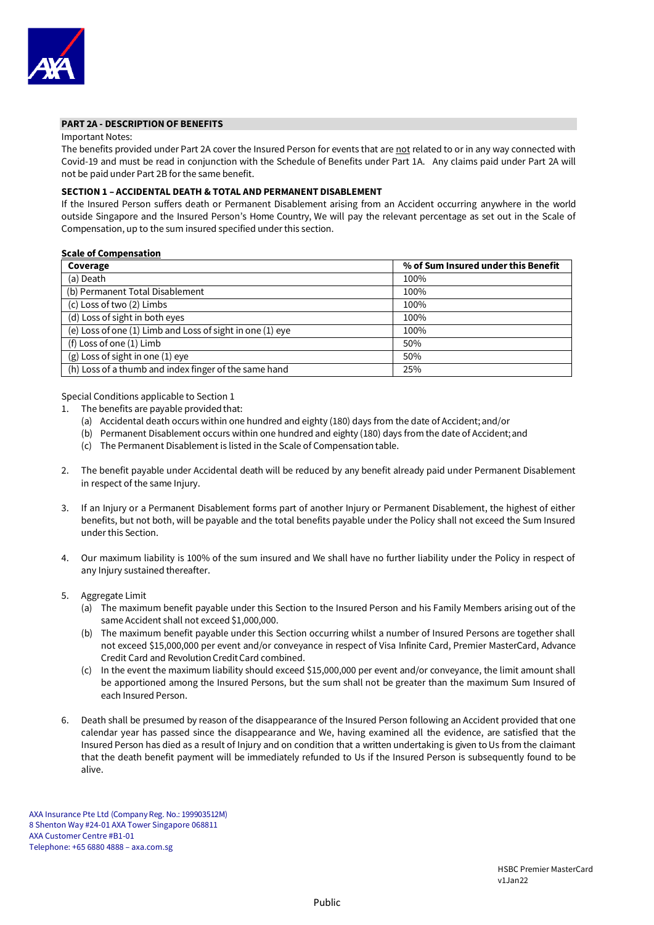

#### **PART 2A - DESCRIPTION OF BENEFITS**

#### Important Notes:

The benefits provided under Part 2A cover the Insured Person for events that are not related to or in any way connected with Covid-19 and must be read in conjunction with the Schedule of Benefits under Part 1A. Any claims paid under Part 2A will not be paid under Part 2B for the same benefit.

## **SECTION 1 – ACCIDENTAL DEATH & TOTAL AND PERMANENT DISABLEMENT**

If the Insured Person suffers death or Permanent Disablement arising from an Accident occurring anywhere in the world outside Singapore and the Insured Person's Home Country, We will pay the relevant percentage as set out in the Scale of Compensation, up to the sum insured specified under this section.

## **Scale of Compensation**

| Coverage                                                  | % of Sum Insured under this Benefit |
|-----------------------------------------------------------|-------------------------------------|
| (a) Death                                                 | 100%                                |
| (b) Permanent Total Disablement                           | 100%                                |
| (c) Loss of two (2) Limbs                                 | 100%                                |
| (d) Loss of sight in both eyes                            | 100%                                |
| (e) Loss of one (1) Limb and Loss of sight in one (1) eye | 100%                                |
| (f) Loss of one (1) Limb                                  | 50%                                 |
| $(g)$ Loss of sight in one $(1)$ eye                      | 50%                                 |
| (h) Loss of a thumb and index finger of the same hand     | 25%                                 |

Special Conditions applicable to Section 1

- 1. The benefits are payable provided that:
	- (a) Accidental death occurs within one hundred and eighty (180) days from the date of Accident; and/or
	- (b) Permanent Disablement occurs within one hundred and eighty (180) days from the date of Accident;and
	- (c) The Permanent Disablement is listed in the Scale of Compensationtable.
- 2. The benefit payable under Accidental death will be reduced by any benefit already paid under Permanent Disablement in respect of the same Injury.
- 3. If an Injury or a Permanent Disablement forms part of another Injury or Permanent Disablement, the highest of either benefits, but not both, will be payable and the total benefits payable under the Policy shall not exceed the Sum Insured under this Section.
- 4. Our maximum liability is 100% of the sum insured and We shall have no further liability under the Policy in respect of any Injury sustained thereafter.
- 5. Aggregate Limit
	- (a) The maximum benefit payable under this Section to the Insured Person and his Family Members arising out of the same Accident shall not exceed \$1,000,000.
	- (b) The maximum benefit payable under this Section occurring whilst a number of Insured Persons are together shall not exceed \$15,000,000 per event and/or conveyance in respect of Visa Infinite Card, Premier MasterCard, Advance Credit Card and Revolution CreditCard combined.
	- (c) In the event the maximum liability should exceed \$15,000,000 per event and/or conveyance, the limit amount shall be apportioned among the Insured Persons, but the sum shall not be greater than the maximum Sum Insured of each Insured Person.
- 6. Death shall be presumed by reason of the disappearance of the Insured Person following an Accident provided that one calendar year has passed since the disappearance and We, having examined all the evidence, are satisfied that the Insured Person has died as a result of Injury and on condition that a written undertaking is given to Us from the claimant that the death benefit payment will be immediately refunded to Us if the Insured Person is subsequently found to be alive.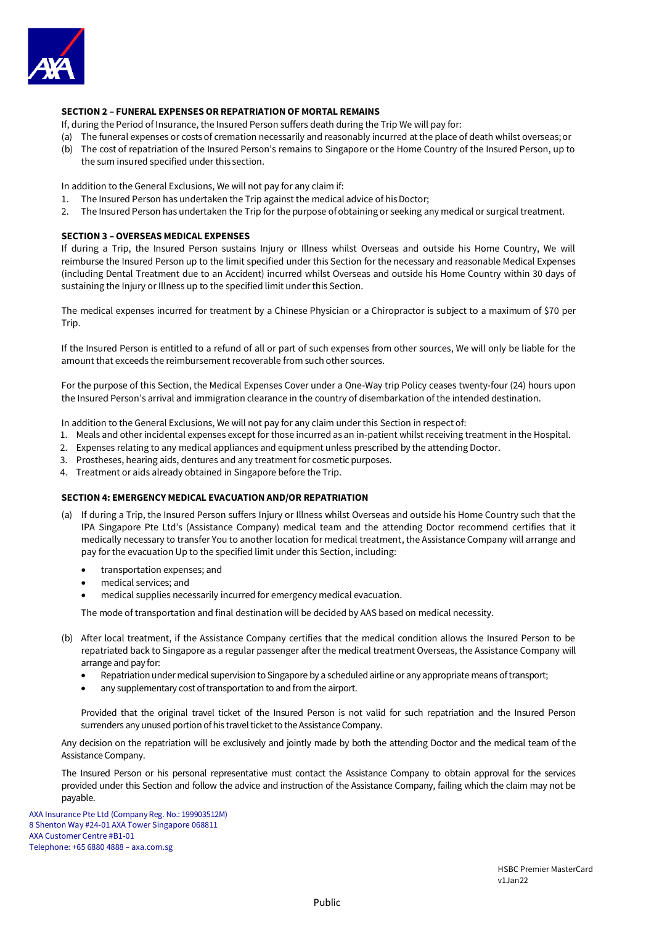

## **SECTION 2 – FUNERAL EXPENSES OR REPATRIATION OF MORTAL REMAINS**

If, during the Period of Insurance, the Insured Person suffers death during the Trip We will pay for:

- (a) The funeral expenses or costs of cremation necessarily and reasonably incurred at the place of death whilst overseas;or
- (b) The cost of repatriation of the Insured Person's remains to Singapore or the Home Country of the Insured Person, up to the sum insured specified under this section.

In addition to the General Exclusions, We will not pay for any claim if:

- 1. The Insured Person has undertaken the Trip against the medical advice of his Doctor;
- 2. The Insured Person has undertaken the Trip for the purpose ofobtaining or seeking any medical or surgical treatment.

### **SECTION 3 – OVERSEAS MEDICAL EXPENSES**

If during a Trip, the Insured Person sustains Injury or Illness whilst Overseas and outside his Home Country, We will reimburse the Insured Person up to the limit specified under this Section for the necessary and reasonable Medical Expenses (including Dental Treatment due to an Accident) incurred whilst Overseas and outside his Home Country within 30 days of sustaining the Injury or Illness up to the specified limit under this Section.

The medical expenses incurred for treatment by a Chinese Physician or a Chiropractor is subject to a maximum of \$70 per Trip.

If the Insured Person is entitled to a refund of all or part of such expenses from other sources, We will only be liable for the amount that exceeds the reimbursement recoverable from such other sources.

For the purpose of this Section, the Medical Expenses Cover under a One-Way trip Policy ceases twenty-four (24) hours upon the Insured Person's arrival and immigration clearance in the country of disembarkation of the intended destination.

In addition to the General Exclusions, We will not pay for any claim under this Section in respect of:

- 1. Meals and other incidental expenses except for those incurred as an in-patient whilst receiving treatment in the Hospital.
- 2. Expenses relating to any medical appliances and equipment unless prescribed by the attending Doctor.
- 3. Prostheses, hearing aids, dentures and any treatment for cosmetic purposes.
- 4. Treatment or aids already obtained in Singapore before the Trip.

## **SECTION 4: EMERGENCY MEDICAL EVACUATION AND/OR REPATRIATION**

- (a) If during a Trip, the Insured Person suffers Injury or Illness whilst Overseas and outside his Home Country such that the IPA Singapore Pte Ltd's (Assistance Company) medical team and the attending Doctor recommend certifies that it medically necessary to transfer You to another location for medical treatment, the Assistance Company will arrange and pay for the evacuation Up to the specified limit under this Section, including:
	- transportation expenses; and
	- medical services; and
	- medical supplies necessarily incurred for emergency medical evacuation.

The mode of transportation and final destination will be decided by AAS based on medical necessity.

- (b) After local treatment, if the Assistance Company certifies that the medical condition allows the Insured Person to be repatriated back to Singapore as a regular passenger after the medical treatment Overseas, the Assistance Company will arrange and pay for:
	- Repatriation under medical supervision to Singapore by a scheduled airline or any appropriate means of transport;
	- any supplementary cost of transportation to and from the airport.

Provided that the original travel ticket of the Insured Person is not valid for such repatriation and the Insured Person surrenders any unused portion of his travel ticket to the Assistance Company.

Any decision on the repatriation will be exclusively and jointly made by both the attending Doctor and the medical team of the Assistance Company.

The Insured Person or his personal representative must contact the Assistance Company to obtain approval for the services provided under this Section and follow the advice and instruction of the Assistance Company, failing which the claim may not be payable.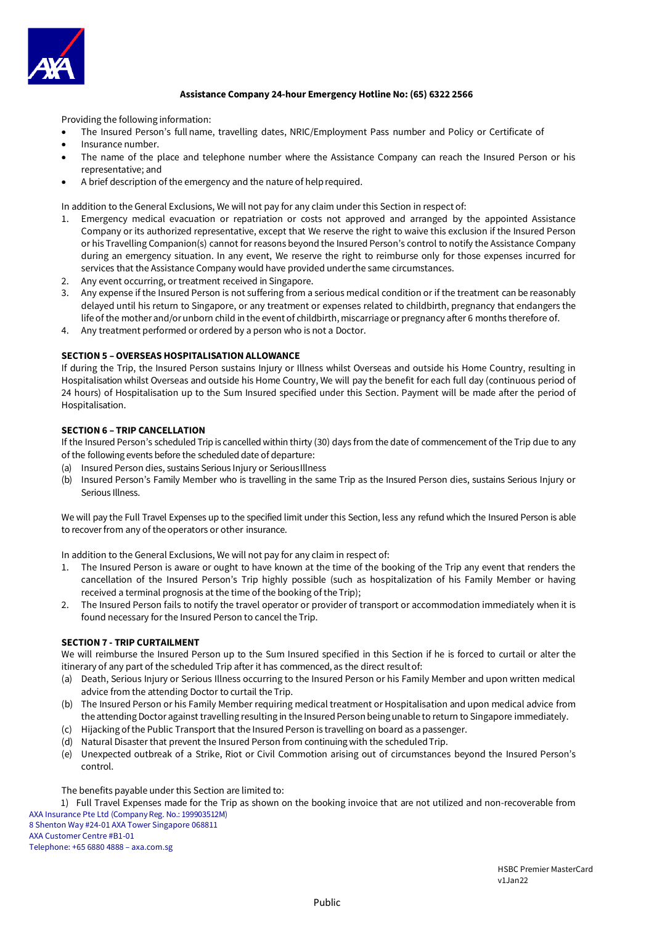

## **Assistance Company 24-hour Emergency Hotline No: (65) 6322 2566**

Providing the following information:

- The Insured Person's full name, travelling dates, NRIC/Employment Pass number and Policy or Certificate of
- Insurance number.
- The name of the place and telephone number where the Assistance Company can reach the Insured Person or his representative; and
- A brief description of the emergency and the nature of helprequired.

In addition to the General Exclusions, We will not pay for any claim under this Section in respect of:

- 1. Emergency medical evacuation or repatriation or costs not approved and arranged by the appointed Assistance Company or its authorized representative, except that We reserve the right to waive this exclusion if the Insured Person or his Travelling Companion(s) cannot for reasons beyond the Insured Person's control to notify the Assistance Company during an emergency situation. In any event, We reserve the right to reimburse only for those expenses incurred for services that the Assistance Company would have provided underthe same circumstances.
- 2. Any event occurring, or treatment received in Singapore.
- 3. Any expense if the Insured Person is not suffering from a serious medical condition or if the treatment can be reasonably delayed until his return to Singapore, or any treatment or expenses related to childbirth, pregnancy that endangers the life of the mother and/orunborn child in the event of childbirth, miscarriage or pregnancy after 6 months therefore of.
- 4. Any treatment performed or ordered by a person who is not a Doctor.

## **SECTION 5 – OVERSEAS HOSPITALISATION ALLOWANCE**

If during the Trip, the Insured Person sustains Injury or Illness whilst Overseas and outside his Home Country, resulting in Hospitalisation whilst Overseas and outside his Home Country, We will pay the benefit for each full day (continuous period of 24 hours) of Hospitalisation up to the Sum Insured specified under this Section. Payment will be made after the period of Hospitalisation.

## **SECTION 6 – TRIP CANCELLATION**

If the Insured Person's scheduled Trip is cancelled within thirty (30) days from the date of commencement of the Trip due to any of the following events before the scheduled date of departure:

- (a) Insured Person dies, sustains Serious Injury or SeriousIllness
- (b) Insured Person's Family Member who is travelling in the same Trip as the Insured Person dies, sustains Serious Injury or Serious Illness.

We will pay the Full Travel Expenses up to the specified limit under this Section, less any refund which the Insured Person is able to recover from any of the operators or other insurance.

In addition to the General Exclusions, We will not pay for any claim in respect of:

- 1. The Insured Person is aware or ought to have known at the time of the booking of the Trip any event that renders the cancellation of the Insured Person's Trip highly possible (such as hospitalization of his Family Member or having received a terminal prognosis at the time of the booking of the Trip);
- 2. The Insured Person fails to notify the travel operator or provider of transport or accommodation immediately when it is found necessary for the Insured Person to cancel the Trip.

## **SECTION 7 - TRIP CURTAILMENT**

We will reimburse the Insured Person up to the Sum Insured specified in this Section if he is forced to curtail or alter the itinerary of any part of the scheduled Trip after it has commenced, as the direct resultof:

- (a) Death, Serious Injury or Serious Illness occurring to the Insured Person or his Family Member and upon written medical advice from the attending Doctor to curtail the Trip.
- (b) The Insured Person or his Family Member requiring medical treatment or Hospitalisation and upon medical advice from the attending Doctor against travelling resulting in the Insured Person being unable to return to Singapore immediately.
- (c) Hijacking ofthe Public Transport that the Insured Person is travelling on board as a passenger.
- (d) Natural Disaster that prevent the Insured Person from continuing with the scheduled Trip.
- (e) Unexpected outbreak of a Strike, Riot or Civil Commotion arising out of circumstances beyond the Insured Person's control.

#### The benefits payable under this Section are limited to:

AXA Insurance Pte Ltd (Company Reg. No.: 199903512M) 8 Shenton Way #24-01 AXA Tower Singapore 068811 1) Full Travel Expenses made for the Trip as shown on the booking invoice that are not utilized and non-recoverable from

AXA Customer Centre #B1-01 Telephone: +65 6880 4888 – axa.com.sg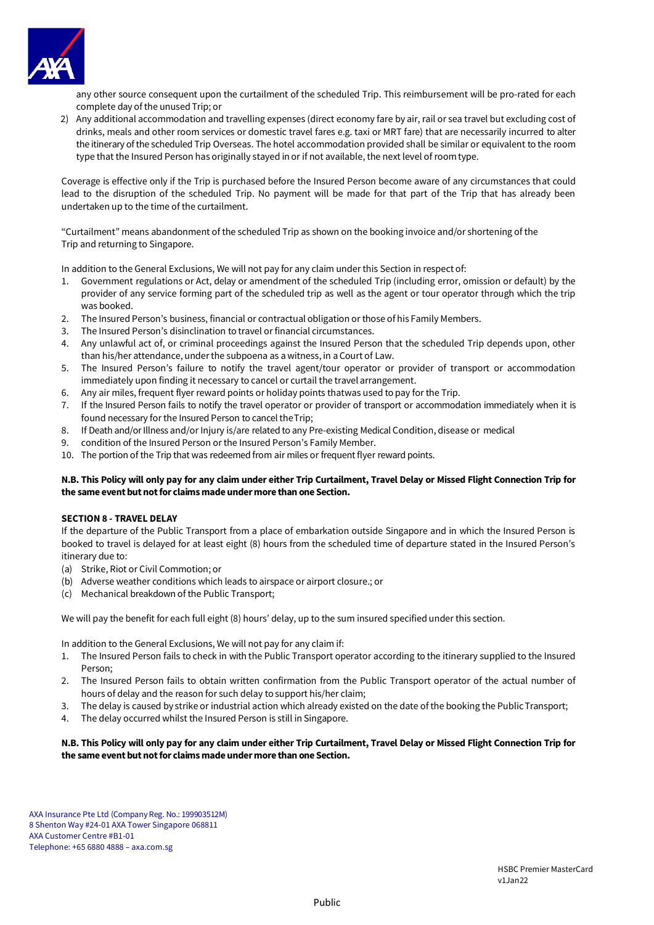

any other source consequent upon the curtailment of the scheduled Trip. This reimbursement will be pro-rated for each complete day of the unusedTrip; or

2) Any additional accommodation and travelling expenses (direct economy fare by air, rail or sea travel but excluding cost of drinks, meals and other room services or domestic travel fares e.g. taxi or MRT fare) that are necessarily incurred to alter the itinerary of the scheduled Trip Overseas. The hotel accommodation provided shall be similar or equivalent to the room type that the Insured Person has originally stayed in or if not available, the next level of roomtype.

Coverage is effective only if the Trip is purchased before the Insured Person become aware of any circumstances that could lead to the disruption of the scheduled Trip. No payment will be made for that part of the Trip that has already been undertaken up to the time of the curtailment.

"Curtailment" means abandonment of the scheduled Trip as shown on the booking invoice and/or shortening of the Trip and returning to Singapore.

In addition to the General Exclusions, We will not pay for any claim under this Section in respect of:

- 1. Government regulations or Act, delay or amendment of the scheduled Trip (including error, omission or default) by the provider of any service forming part of the scheduled trip as well as the agent or tour operator through which the trip was booked.
- 2. The Insured Person's business, financial or contractual obligation or those of his Family Members.
- 3. The Insured Person's disinclination to travel or financial circumstances.
- 4. Any unlawful act of, or criminal proceedings against the Insured Person that the scheduled Trip depends upon, other than his/her attendance, underthe subpoena as a witness, in a Court of Law.
- 5. The Insured Person's failure to notify the travel agent/tour operator or provider of transport or accommodation immediately upon finding it necessary to cancel or curtail the travel arrangement.
- 6. Any air miles, frequent flyer reward points or holiday points thatwas used to pay for the Trip.
- 7. If the Insured Person fails to notify the travel operator or provider of transport or accommodation immediately when it is found necessary for the Insured Person to cancel theTrip;
- 8. If Death and/or Illness and/or Injury is/are related to any Pre-existing Medical Condition, disease or medical
- 9. condition of the Insured Person or the Insured Person's Family Member.
- 10. The portion of the Trip that was redeemed from air miles or frequent flyer reward points.

## **N.B. This Policy will only pay for any claim under either Trip Curtailment, Travel Delay or Missed Flight Connection Trip for the same event but not for claims made under more than one Section.**

## **SECTION 8 - TRAVEL DELAY**

If the departure of the Public Transport from a place of embarkation outside Singapore and in which the Insured Person is booked to travel is delayed for at least eight (8) hours from the scheduled time of departure stated in the Insured Person's itinerary due to:

- (a) Strike, Riot or Civil Commotion; or
- (b) Adverse weather conditions which leads to airspace or airport closure.; or
- (c) Mechanical breakdown of the Public Transport;

We will pay the benefit for each full eight (8) hours' delay, up to the sum insured specified under this section.

In addition to the General Exclusions, We will not pay for any claim if:

- 1. The Insured Person fails to check in with the Public Transport operator according to the itinerary supplied to the Insured Person;
- 2. The Insured Person fails to obtain written confirmation from the Public Transport operator of the actual number of hours of delay and the reason for such delay to support his/her claim;
- 3. The delay is caused by strike or industrial action which already existed on the date of the booking the Public Transport:
- 4. The delay occurred whilst the Insured Person is still in Singapore.

## **N.B. This Policy will only pay for any claim under either Trip Curtailment, Travel Delay or Missed Flight Connection Trip for the same event but not for claims made under more than one Section.**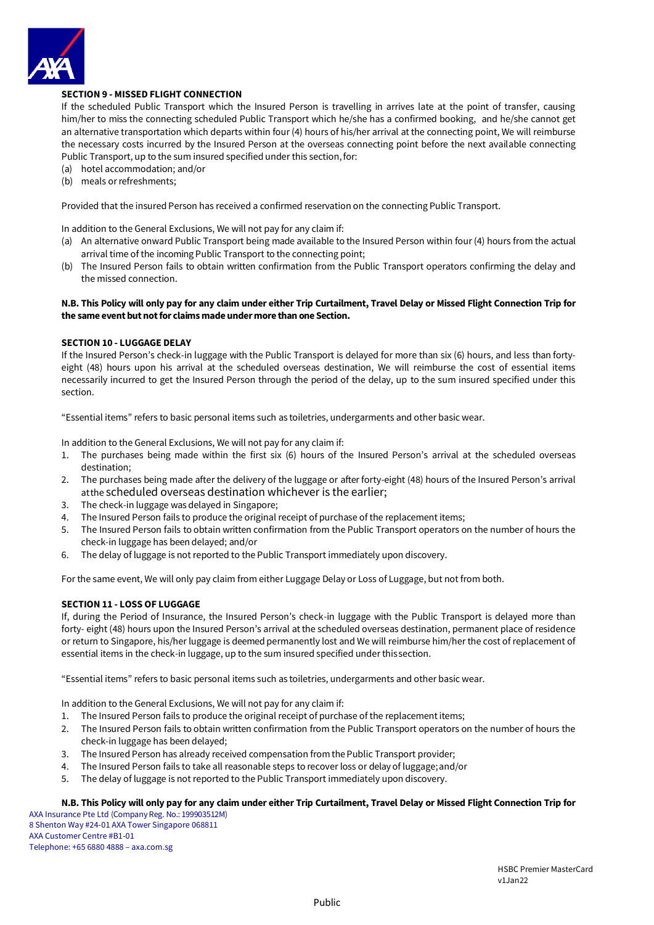

## **SECTION 9 - MISSED FLIGHT CONNECTION**

If the scheduled Public Transport which the Insured Person is travelling in arrives late at the point of transfer, causing him/her to miss the connecting scheduled Public Transport which he/she has a confirmed booking, and he/she cannot get an alternative transportation which departs within four (4) hours of his/her arrival at the connecting point, We will reimburse the necessary costs incurred by the Insured Person at the overseas connecting point before the next available connecting Public Transport, up to the sum insured specified under this section, for:

(a) hotel accommodation; and/or

(b) meals or refreshments;

Provided that the insured Person has received a confirmed reservation on the connecting Public Transport.

In addition to the General Exclusions, We will not pay for any claim if:

- (a) An alternative onward Public Transport being made available to the Insured Person within four (4) hours from the actual arrival time of the incoming Public Transport to the connecting point;
- (b) The Insured Person fails to obtain written confirmation from the Public Transport operators confirming the delay and the missed connection.

## **N.B. This Policy will only pay for any claim under either Trip Curtailment, Travel Delay or Missed Flight Connection Trip for the same event but not for claims made under more than one Section.**

### **SECTION 10 - LUGGAGE DELAY**

If the Insured Person's check-in luggage with the Public Transport is delayed for more than six (6) hours, and less than fortyeight (48) hours upon his arrival at the scheduled overseas destination, We will reimburse the cost of essential items necessarily incurred to get the Insured Person through the period of the delay, up to the sum insured specified under this section.

"Essential items" refers to basic personal items such as toiletries, undergarments and other basic wear.

In addition to the General Exclusions, We will not pay for any claim if:

- 1. The purchases being made within the first six (6) hours of the Insured Person's arrival at the scheduled overseas destination;
- 2. The purchases being made after the delivery of the luggage or after forty-eight (48) hours of the Insured Person's arrival atthe scheduled overseas destination whichever is the earlier;
- 3. The check-in luggage was delayed in Singapore;
- 4. The Insured Person fails to produce the original receipt of purchase of the replacement items;
- 5. The Insured Person fails to obtain written confirmation from the Public Transport operators on the number of hours the check-in luggage has been delayed; and/or
- 6. The delay of luggage is not reported to the Public Transport immediately upon discovery.

For the same event, We will only pay claim from either Luggage Delay or Loss of Luggage, but not from both.

## **SECTION 11 - LOSS OF LUGGAGE**

If, during the Period of Insurance, the Insured Person's check-in luggage with the Public Transport is delayed more than forty- eight (48) hours upon the Insured Person's arrival at the scheduled overseas destination, permanent place of residence or return to Singapore, his/her luggage is deemed permanently lost and We will reimburse him/her the cost of replacement of essential items in the check-in luggage, up to the sum insured specified under thissection.

"Essential items" refers to basic personal items such as toiletries, undergarments and other basic wear.

In addition to the General Exclusions, We will not pay for any claim if:

- 1. The Insured Person fails to produce the original receipt of purchase of the replacement items;
- 2. The Insured Person fails to obtain written confirmation from the Public Transport operators on the number of hours the check-in luggage has been delayed;
- 3. The Insured Person has already received compensation from the Public Transport provider;
- 4. The Insured Person fails to take all reasonable steps to recover loss or delay of luggage;and/or
- 5. The delay of luggage is not reported to the Public Transport immediately upon discovery.

### **N.B. This Policy will only pay for any claim under either Trip Curtailment, Travel Delay or Missed Flight Connection Trip for**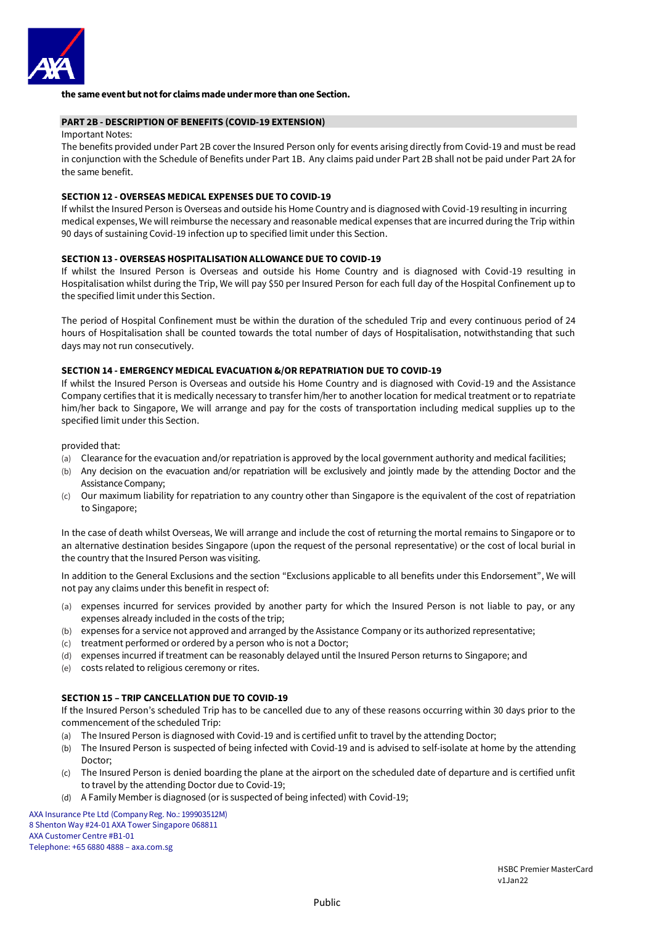

## **the same event but not for claims made under more than one Section.**

### **PART 2B - DESCRIPTION OF BENEFITS (COVID-19 EXTENSION)**

#### Important Notes:

The benefits provided under Part 2B cover the Insured Person only for events arising directly from Covid-19 and must be read in conjunction with the Schedule of Benefits under Part 1B. Any claims paid under Part 2B shall not be paid under Part 2A for the same benefit.

### **SECTION 12 - OVERSEAS MEDICAL EXPENSES DUE TO COVID-19**

If whilst the Insured Person is Overseas and outside his Home Country and is diagnosed with Covid-19 resulting in incurring medical expenses, We will reimburse the necessary and reasonable medical expenses that are incurred during the Trip within 90 days of sustaining Covid-19 infection up to specified limit under this Section.

#### **SECTION 13 - OVERSEAS HOSPITALISATION ALLOWANCE DUE TO COVID-19**

If whilst the Insured Person is Overseas and outside his Home Country and is diagnosed with Covid-19 resulting in Hospitalisation whilst during the Trip, We will pay \$50 per Insured Person for each full day of the Hospital Confinement up to the specified limit under this Section.

The period of Hospital Confinement must be within the duration of the scheduled Trip and every continuous period of 24 hours of Hospitalisation shall be counted towards the total number of days of Hospitalisation, notwithstanding that such days may not run consecutively.

#### **SECTION 14 - EMERGENCY MEDICAL EVACUATION &/OR REPATRIATION DUE TO COVID-19**

If whilst the Insured Person is Overseas and outside his Home Country and is diagnosed with Covid-19 and the Assistance Company certifies that it is medically necessary to transfer him/her to another location for medical treatment or to repatriate him/her back to Singapore, We will arrange and pay for the costs of transportation including medical supplies up to the specified limit under this Section.

provided that:

- (a) Clearance for the evacuation and/or repatriation is approved by the local government authority and medical facilities;
- (b) Any decision on the evacuation and/or repatriation will be exclusively and jointly made by the attending Doctor and the Assistance Company;
- (c) Our maximum liability for repatriation to any country other than Singapore is the equivalent of the cost of repatriation to Singapore;

In the case of death whilst Overseas, We will arrange and include the cost of returning the mortal remains to Singapore or to an alternative destination besides Singapore (upon the request of the personal representative) or the cost of local burial in the country that the Insured Person was visiting.

In addition to the General Exclusions and the section "Exclusions applicable to all benefits under this Endorsement", We will not pay any claims under this benefit in respect of:

- (a) expenses incurred for services provided by another party for which the Insured Person is not liable to pay, or any expenses already included in the costs of the trip;
- (b) expenses for a service not approved and arranged by the Assistance Company or its authorized representative;
- (c) treatment performed or ordered by a person who is not a Doctor;
- (d) expenses incurred if treatment can be reasonably delayed until the Insured Person returns to Singapore; and
- (e) costs related to religious ceremony or rites.

## **SECTION 15 – TRIP CANCELLATION DUE TO COVID-19**

If the Insured Person's scheduled Trip has to be cancelled due to any of these reasons occurring within 30 days prior to the commencement of the scheduled Trip:

- (a) The Insured Person is diagnosed with Covid-19 and is certified unfit to travel by the attending Doctor;
- (b) The Insured Person is suspected of being infected with Covid-19 and is advised to self-isolate at home by the attending Doctor;
- (c) The Insured Person is denied boarding the plane at the airport on the scheduled date of departure and is certified unfit to travel by the attending Doctor due to Covid-19;
- (d) A Family Member is diagnosed (or is suspected of being infected) with Covid-19;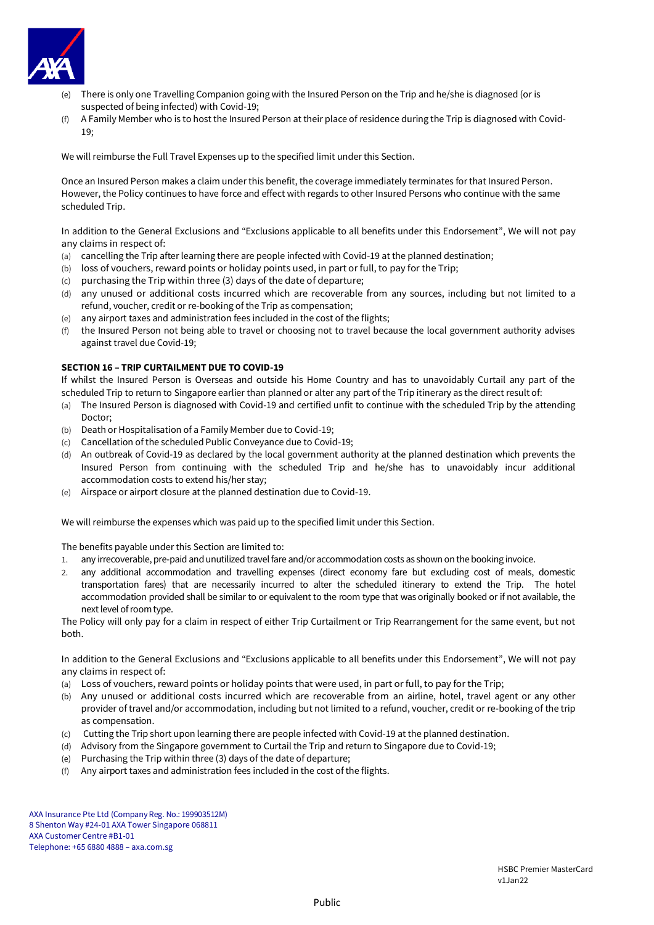

- (e) There is only one Travelling Companion going with the Insured Person on the Trip and he/she is diagnosed (or is suspected of being infected) with Covid-19;
- (f) A Family Member who is to host the Insured Person at their place of residence during the Trip is diagnosed with Covid-19;

We will reimburse the Full Travel Expenses up to the specified limit under this Section.

Once an Insured Person makes a claim under this benefit, the coverage immediately terminates for that Insured Person. However, the Policy continues to have force and effect with regards to other Insured Persons who continue with the same scheduled Trip.

In addition to the General Exclusions and "Exclusions applicable to all benefits under this Endorsement", We will not pay any claims in respect of:

- (a) cancelling the Trip after learning there are people infected with Covid-19 at the planned destination;
- (b) loss of vouchers, reward points or holiday points used, in part or full, to pay for the Trip;
- (c) purchasing the Trip within three (3) days of the date of departure;
- (d) any unused or additional costs incurred which are recoverable from any sources, including but not limited to a refund, voucher, credit or re-booking of the Trip as compensation;
- (e) any airport taxes and administration fees included in the cost of the flights;
- (f) the Insured Person not being able to travel or choosing not to travel because the local government authority advises against travel due Covid-19;

## **SECTION 16 – TRIP CURTAILMENT DUE TO COVID-19**

If whilst the Insured Person is Overseas and outside his Home Country and has to unavoidably Curtail any part of the scheduled Trip to return to Singapore earlier than planned or alter any part of the Trip itinerary as the direct result of:

- (a) The Insured Person is diagnosed with Covid-19 and certified unfit to continue with the scheduled Trip by the attending Doctor;
- (b) Death or Hospitalisation of a Family Member due to Covid-19;
- (c) Cancellation of the scheduled Public Conveyance due to Covid-19;
- (d) An outbreak of Covid-19 as declared by the local government authority at the planned destination which prevents the Insured Person from continuing with the scheduled Trip and he/she has to unavoidably incur additional accommodation costs to extend his/her stay;
- (e) Airspace or airport closure at the planned destination due to Covid-19.

We will reimburse the expenses which was paid up to the specified limit under this Section.

The benefits payable under this Section are limited to:

- 1. any irrecoverable, pre-paid and unutilized travel fare and/or accommodation costs as shown on the booking invoice.
- 2. any additional accommodation and travelling expenses (direct economy fare but excluding cost of meals, domestic transportation fares) that are necessarily incurred to alter the scheduled itinerary to extend the Trip. The hotel accommodation provided shall be similar to or equivalent to the room type that was originally booked or if not available, the next level of room type.

The Policy will only pay for a claim in respect of either Trip Curtailment or Trip Rearrangement for the same event, but not both.

In addition to the General Exclusions and "Exclusions applicable to all benefits under this Endorsement", We will not pay any claims in respect of:

- (a) Loss of vouchers, reward points or holiday points that were used, in part or full, to pay for the Trip;
- (b) Any unused or additional costs incurred which are recoverable from an airline, hotel, travel agent or any other provider of travel and/or accommodation, including but not limited to a refund, voucher, credit or re-booking of the trip as compensation.
- (c) Cutting the Trip short upon learning there are people infected with Covid-19 at the planned destination.
- (d) Advisory from the Singapore government to Curtail the Trip and return to Singapore due to Covid-19;
- (e) Purchasing the Trip within three (3) days of the date of departure;
- (f) Any airport taxes and administration fees included in the cost of the flights.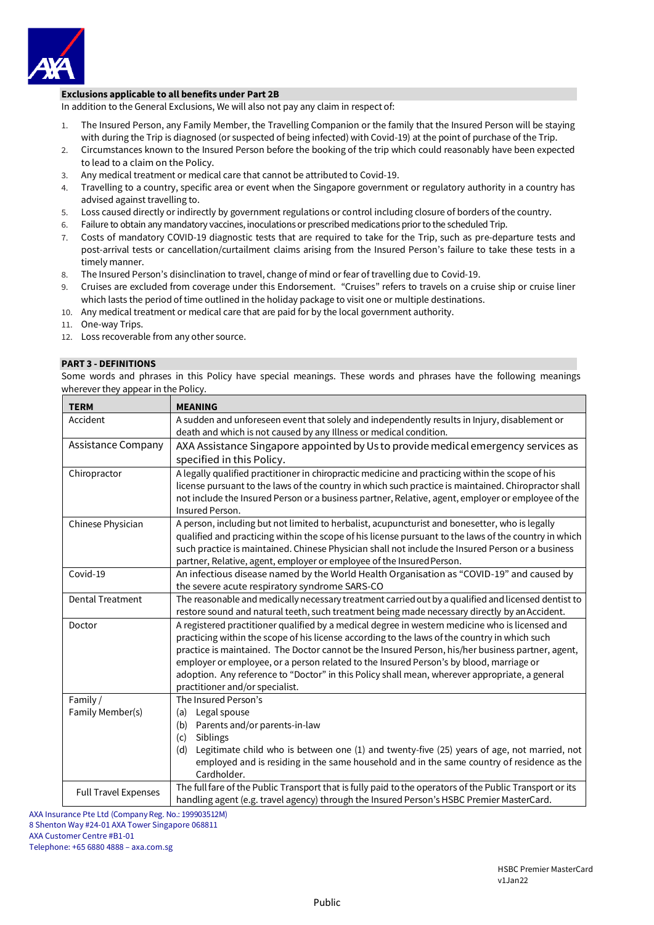

## **Exclusions applicable to all benefits under Part 2B**

In addition to the General Exclusions, We will also not pay any claim in respect of:

- 1. The Insured Person, any Family Member, the Travelling Companion or the family that the Insured Person will be staying with during the Trip is diagnosed (or suspected of being infected) with Covid-19) at the point of purchase of the Trip.
- 2. Circumstances known to the Insured Person before the booking of the trip which could reasonably have been expected to lead to a claim on the Policy.
- 3. Any medical treatment or medical care that cannot be attributed to Covid-19.
- 4. Travelling to a country, specific area or event when the Singapore government or regulatory authority in a country has advised against travelling to.
- 5. Loss caused directly or indirectly by government regulations or control including closure of borders of the country.
- 6. Failure to obtain any mandatory vaccines, inoculations or prescribed medications prior to the scheduled Trip.
- 7. Costs of mandatory COVID-19 diagnostic tests that are required to take for the Trip, such as pre-departure tests and post-arrival tests or cancellation/curtailment claims arising from the Insured Person's failure to take these tests in a timely manner.
- 8. The Insured Person's disinclination to travel, change of mind or fear of travelling due to Covid-19.
- 9. Cruises are excluded from coverage under this Endorsement. "Cruises" refers to travels on a cruise ship or cruise liner which lasts the period of time outlined in the holiday package to visit one or multiple destinations.
- 10. Any medical treatment or medical care that are paid for by the local government authority.
- 11. One-way Trips.
- 12. Loss recoverable from any other source.

#### **PART 3 - DEFINITIONS**

Some words and phrases in this Policy have special meanings. These words and phrases have the following meanings wherever they appear in the Policy.

| <b>TERM</b>                 | <b>MEANING</b>                                                                                                                                       |
|-----------------------------|------------------------------------------------------------------------------------------------------------------------------------------------------|
| Accident                    | A sudden and unforeseen event that solely and independently results in Injury, disablement or                                                        |
|                             | death and which is not caused by any Illness or medical condition.                                                                                   |
| <b>Assistance Company</b>   | AXA Assistance Singapore appointed by Us to provide medical emergency services as                                                                    |
|                             | specified in this Policy.                                                                                                                            |
| Chiropractor                | A legally qualified practitioner in chiropractic medicine and practicing within the scope of his                                                     |
|                             | license pursuant to the laws of the country in which such practice is maintained. Chiropractor shall                                                 |
|                             | not include the Insured Person or a business partner, Relative, agent, employer or employee of the                                                   |
|                             | Insured Person.                                                                                                                                      |
| Chinese Physician           | A person, including but not limited to herbalist, acupuncturist and bonesetter, who is legally                                                       |
|                             | qualified and practicing within the scope of his license pursuant to the laws of the country in which                                                |
|                             | such practice is maintained. Chinese Physician shall not include the Insured Person or a business                                                    |
|                             | partner, Relative, agent, employer or employee of the Insured Person.                                                                                |
| Covid-19                    | An infectious disease named by the World Health Organisation as "COVID-19" and caused by                                                             |
| <b>Dental Treatment</b>     | the severe acute respiratory syndrome SARS-CO<br>The reasonable and medically necessary treatment carried out by a qualified and licensed dentist to |
|                             | restore sound and natural teeth, such treatment being made necessary directly by an Accident.                                                        |
| Doctor                      | A registered practitioner qualified by a medical degree in western medicine who is licensed and                                                      |
|                             | practicing within the scope of his license according to the laws of the country in which such                                                        |
|                             | practice is maintained. The Doctor cannot be the Insured Person, his/her business partner, agent,                                                    |
|                             | employer or employee, or a person related to the Insured Person's by blood, marriage or                                                              |
|                             | adoption. Any reference to "Doctor" in this Policy shall mean, wherever appropriate, a general                                                       |
|                             | practitioner and/or specialist.                                                                                                                      |
| Family/                     | The Insured Person's                                                                                                                                 |
| Family Member(s)            | Legal spouse<br>(a)                                                                                                                                  |
|                             | Parents and/or parents-in-law<br>(b)                                                                                                                 |
|                             | Siblings<br>(c)                                                                                                                                      |
|                             | Legitimate child who is between one (1) and twenty-five (25) years of age, not married, not<br>(d)                                                   |
|                             | employed and is residing in the same household and in the same country of residence as the                                                           |
|                             | Cardholder.                                                                                                                                          |
| <b>Full Travel Expenses</b> | The full fare of the Public Transport that is fully paid to the operators of the Public Transport or its                                             |
|                             | handling agent (e.g. travel agency) through the Insured Person's HSBC Premier MasterCard.                                                            |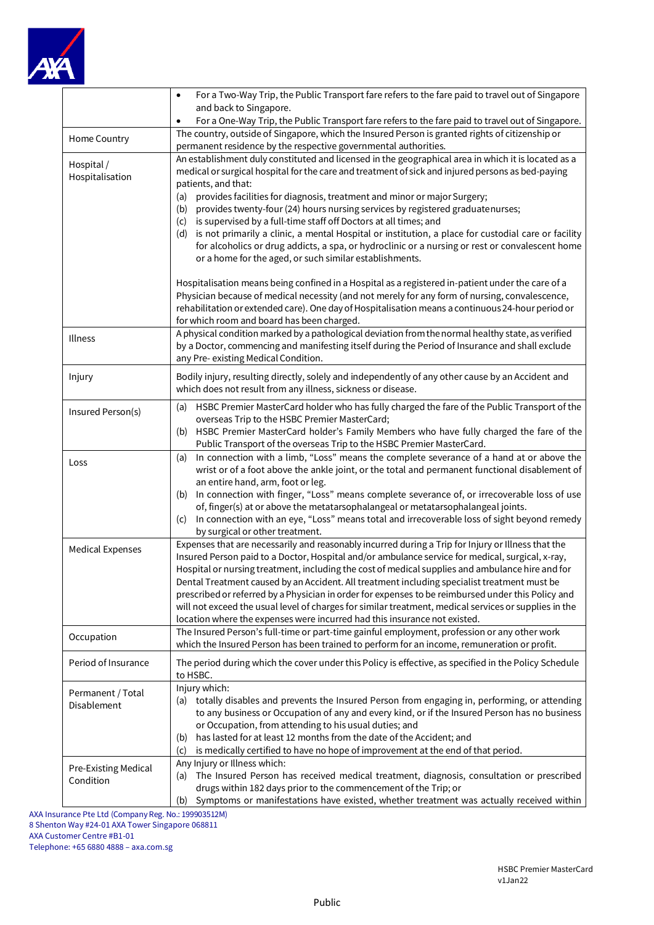

|                                          | For a Two-Way Trip, the Public Transport fare refers to the fare paid to travel out of Singapore<br>$\bullet$<br>and back to Singapore.<br>For a One-Way Trip, the Public Transport fare refers to the fare paid to travel out of Singapore.<br>$\bullet$                                                                                                                                                                                                                                                                                                                                                                                                                                                                                                          |
|------------------------------------------|--------------------------------------------------------------------------------------------------------------------------------------------------------------------------------------------------------------------------------------------------------------------------------------------------------------------------------------------------------------------------------------------------------------------------------------------------------------------------------------------------------------------------------------------------------------------------------------------------------------------------------------------------------------------------------------------------------------------------------------------------------------------|
| Home Country                             | The country, outside of Singapore, which the Insured Person is granted rights of citizenship or<br>permanent residence by the respective governmental authorities.                                                                                                                                                                                                                                                                                                                                                                                                                                                                                                                                                                                                 |
| Hospital /<br>Hospitalisation            | An establishment duly constituted and licensed in the geographical area in which it is located as a<br>medical or surgical hospital for the care and treatment of sick and injured persons as bed-paying<br>patients, and that:<br>provides facilities for diagnosis, treatment and minor or major Surgery;<br>(a)<br>provides twenty-four (24) hours nursing services by registered graduatenurses;<br>(b)<br>is supervised by a full-time staff off Doctors at all times; and<br>(c)<br>is not primarily a clinic, a mental Hospital or institution, a place for custodial care or facility<br>(d)<br>for alcoholics or drug addicts, a spa, or hydroclinic or a nursing or rest or convalescent home<br>or a home for the aged, or such similar establishments. |
|                                          | Hospitalisation means being confined in a Hospital as a registered in-patient under the care of a<br>Physician because of medical necessity (and not merely for any form of nursing, convalescence,<br>rehabilitation or extended care). One day of Hospitalisation means a continuous 24-hour period or<br>for which room and board has been charged.                                                                                                                                                                                                                                                                                                                                                                                                             |
| Illness                                  | A physical condition marked by a pathological deviation from the normal healthy state, as verified<br>by a Doctor, commencing and manifesting itself during the Period of Insurance and shall exclude<br>any Pre-existing Medical Condition.                                                                                                                                                                                                                                                                                                                                                                                                                                                                                                                       |
| Injury                                   | Bodily injury, resulting directly, solely and independently of any other cause by an Accident and<br>which does not result from any illness, sickness or disease.                                                                                                                                                                                                                                                                                                                                                                                                                                                                                                                                                                                                  |
| Insured Person(s)                        | HSBC Premier MasterCard holder who has fully charged the fare of the Public Transport of the<br>(a)<br>overseas Trip to the HSBC Premier MasterCard;<br>HSBC Premier MasterCard holder's Family Members who have fully charged the fare of the<br>(b)<br>Public Transport of the overseas Trip to the HSBC Premier MasterCard.                                                                                                                                                                                                                                                                                                                                                                                                                                     |
| Loss                                     | In connection with a limb, "Loss" means the complete severance of a hand at or above the<br>(a)<br>wrist or of a foot above the ankle joint, or the total and permanent functional disablement of<br>an entire hand, arm, foot or leg.<br>In connection with finger, "Loss" means complete severance of, or irrecoverable loss of use<br>(b)<br>of, finger(s) at or above the metatarsophalangeal or metatarsophalangeal joints.<br>In connection with an eye, "Loss" means total and irrecoverable loss of sight beyond remedy<br>(c)<br>by surgical or other treatment.                                                                                                                                                                                          |
| <b>Medical Expenses</b>                  | Expenses that are necessarily and reasonably incurred during a Trip for Injury or Illness that the<br>Insured Person paid to a Doctor, Hospital and/or ambulance service for medical, surgical, x-ray,<br>Hospital or nursing treatment, including the cost of medical supplies and ambulance hire and for<br>Dental Treatment caused by an Accident. All treatment including specialist treatment must be<br>prescribed or referred by a Physician in order for expenses to be reimbursed under this Policy and<br>will not exceed the usual level of charges for similar treatment, medical services or supplies in the<br>location where the expenses were incurred had this insurance not existed.                                                             |
| Occupation                               | The Insured Person's full-time or part-time gainful employment, profession or any other work<br>which the Insured Person has been trained to perform for an income, remuneration or profit.                                                                                                                                                                                                                                                                                                                                                                                                                                                                                                                                                                        |
| Period of Insurance                      | The period during which the cover under this Policy is effective, as specified in the Policy Schedule<br>to HSBC.                                                                                                                                                                                                                                                                                                                                                                                                                                                                                                                                                                                                                                                  |
| Permanent / Total<br><b>Disablement</b>  | Injury which:<br>(a) totally disables and prevents the Insured Person from engaging in, performing, or attending<br>to any business or Occupation of any and every kind, or if the Insured Person has no business<br>or Occupation, from attending to his usual duties; and<br>has lasted for at least 12 months from the date of the Accident; and<br>(b)<br>is medically certified to have no hope of improvement at the end of that period.<br>(c)                                                                                                                                                                                                                                                                                                              |
| <b>Pre-Existing Medical</b><br>Condition | Any Injury or Illness which:<br>The Insured Person has received medical treatment, diagnosis, consultation or prescribed<br>(a)<br>drugs within 182 days prior to the commencement of the Trip; or<br>Symptoms or manifestations have existed, whether treatment was actually received within<br>(b)                                                                                                                                                                                                                                                                                                                                                                                                                                                               |

AXA Insurance Pte Ltd (Company Reg. No.: 199903512M) 8 Shenton Way #24-01 AXA Tower Singapore 068811 AXA Customer Centre #B1-01

Telephone: +65 6880 4888 – axa.com.sg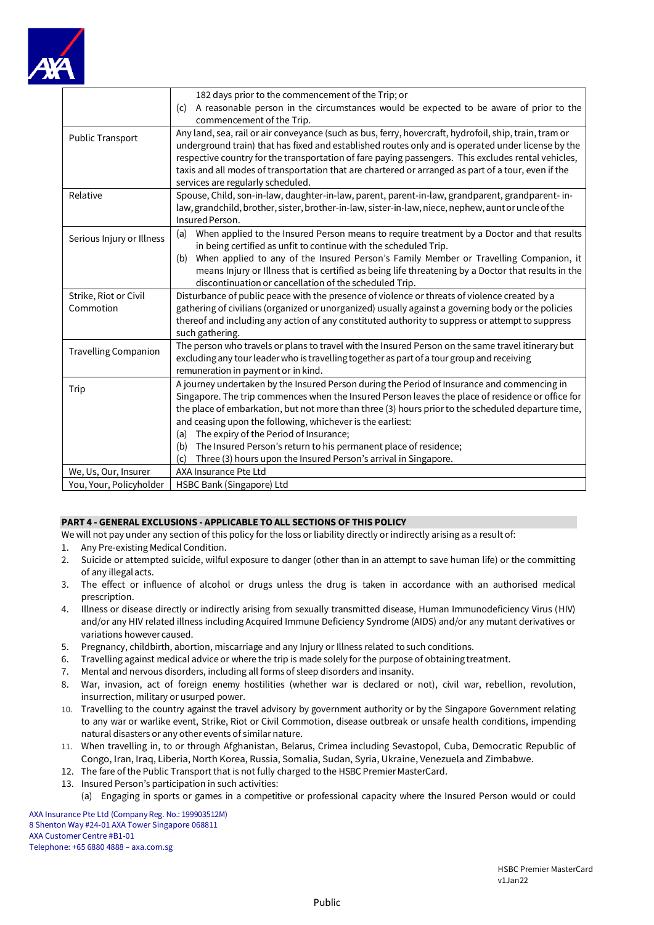

|                             | 182 days prior to the commencement of the Trip; or                                                     |
|-----------------------------|--------------------------------------------------------------------------------------------------------|
|                             | A reasonable person in the circumstances would be expected to be aware of prior to the<br>(c)          |
|                             | commencement of the Trip.                                                                              |
| Public Transport            | Any land, sea, rail or air conveyance (such as bus, ferry, hovercraft, hydrofoil, ship, train, tram or |
|                             | underground train) that has fixed and established routes only and is operated under license by the     |
|                             | respective country for the transportation of fare paying passengers. This excludes rental vehicles,    |
|                             | taxis and all modes of transportation that are chartered or arranged as part of a tour, even if the    |
|                             | services are regularly scheduled.                                                                      |
| Relative                    | Spouse, Child, son-in-law, daughter-in-law, parent, parent-in-law, grandparent, grandparent-in-        |
|                             | law, grandchild, brother, sister, brother-in-law, sister-in-law, niece, nephew, aunt or uncle of the   |
|                             | Insured Person.                                                                                        |
| Serious Injury or Illness   | When applied to the Insured Person means to require treatment by a Doctor and that results<br>(a)      |
|                             | in being certified as unfit to continue with the scheduled Trip.                                       |
|                             | When applied to any of the Insured Person's Family Member or Travelling Companion, it<br>(b)           |
|                             | means Injury or Illness that is certified as being life threatening by a Doctor that results in the    |
|                             | discontinuation or cancellation of the scheduled Trip.                                                 |
| Strike, Riot or Civil       | Disturbance of public peace with the presence of violence or threats of violence created by a          |
| Commotion                   | gathering of civilians (organized or unorganized) usually against a governing body or the policies     |
|                             | thereof and including any action of any constituted authority to suppress or attempt to suppress       |
|                             | such gathering.                                                                                        |
| <b>Travelling Companion</b> | The person who travels or plans to travel with the Insured Person on the same travel itinerary but     |
|                             | excluding any tour leader who is travelling together as part of a tour group and receiving             |
|                             | remuneration in payment or in kind.                                                                    |
| Trip                        | A journey undertaken by the Insured Person during the Period of Insurance and commencing in            |
|                             | Singapore. The trip commences when the Insured Person leaves the place of residence or office for      |
|                             | the place of embarkation, but not more than three (3) hours prior to the scheduled departure time,     |
|                             | and ceasing upon the following, whichever is the earliest:                                             |
|                             | The expiry of the Period of Insurance;<br>(a)                                                          |
|                             | The Insured Person's return to his permanent place of residence;<br>(b)                                |
|                             | Three (3) hours upon the Insured Person's arrival in Singapore.<br>(c)                                 |
| We, Us, Our, Insurer        | AXA Insurance Pte Ltd                                                                                  |
| You, Your, Policyholder     | HSBC Bank (Singapore) Ltd                                                                              |

## **PART 4 - GENERAL EXCLUSIONS - APPLICABLE TO ALL SECTIONS OF THIS POLICY**

We will not pay under any section of this policy for the loss or liability directly or indirectly arising as a result of:

- 1. Any Pre-existing Medical Condition.
- 2. Suicide or attempted suicide, wilful exposure to danger (other than in an attempt to save human life) or the committing of any illegalacts.
- 3. The effect or influence of alcohol or drugs unless the drug is taken in accordance with an authorised medical prescription.
- 4. Illness or disease directly or indirectly arising from sexually transmitted disease, Human Immunodeficiency Virus (HIV) and/or any HIV related illness including Acquired Immune Deficiency Syndrome (AIDS) and/or any mutant derivatives or variations howevercaused.
- 5. Pregnancy, childbirth, abortion, miscarriage and any Injury or Illness related to such conditions.
- 6. Travelling against medical advice or where the trip is made solely for the purpose of obtaining treatment.
- 7. Mental and nervous disorders, including all forms of sleep disorders and insanity.
- 8. War, invasion, act of foreign enemy hostilities (whether war is declared or not), civil war, rebellion, revolution, insurrection, military or usurped power.
- 10. Travelling to the country against the travel advisory by government authority or by the Singapore Government relating to any war or warlike event, Strike, Riot or Civil Commotion, disease outbreak or unsafe health conditions, impending natural disasters or any other events of similar nature.
- 11. When travelling in, to or through Afghanistan, Belarus, Crimea including Sevastopol, Cuba, Democratic Republic of Congo, Iran, Iraq, Liberia, North Korea, Russia, Somalia, Sudan, Syria, Ukraine, Venezuela and Zimbabwe.
- 12. The fare of the Public Transport that is not fully charged to the HSBC Premier MasterCard.
- 13. Insured Person's participation in such activities:
	- (a) Engaging in sports or games in a competitive or professional capacity where the Insured Person would or could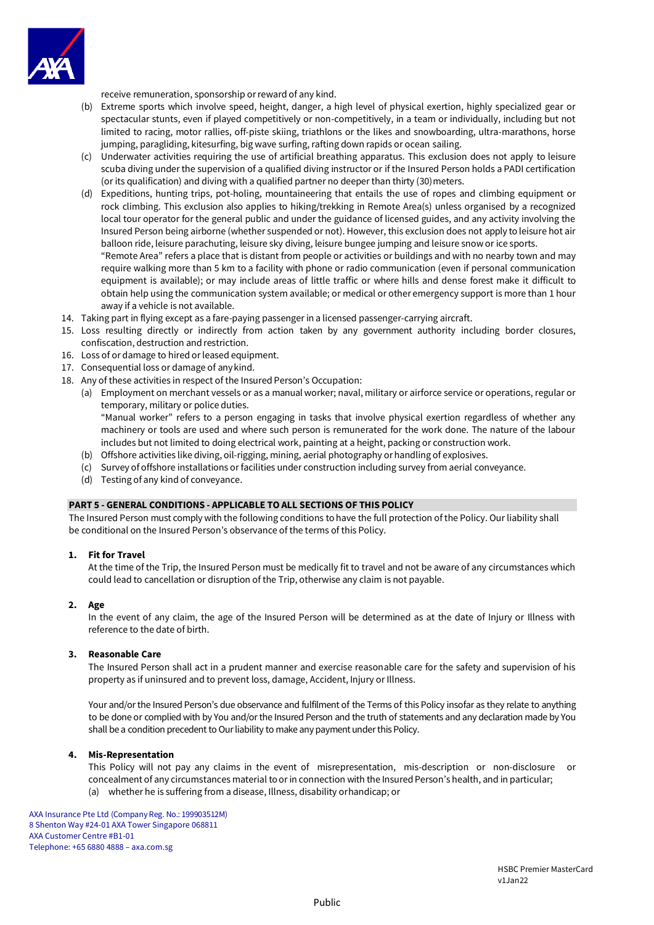

receive remuneration, sponsorship orreward of any kind.

- (b) Extreme sports which involve speed, height, danger, a high level of physical exertion, highly specialized gear or spectacular stunts, even if played competitively or non-competitively, in a team or individually, including but not limited to racing, motor rallies, off-piste skiing, triathlons or the likes and snowboarding, ultra-marathons, horse jumping, paragliding, kitesurfing, big wave surfing, rafting down rapids or ocean sailing.
- (c) Underwater activities requiring the use of artificial breathing apparatus. This exclusion does not apply to leisure scuba diving under the supervision of a qualified diving instructor or if the Insured Person holds a PADI certification (or its qualification) and diving with a qualified partner no deeper than thirty (30) meters.
- (d) Expeditions, hunting trips, pot-holing, mountaineering that entails the use of ropes and climbing equipment or rock climbing. This exclusion also applies to hiking/trekking in Remote Area(s) unless organised by a recognized local tour operator for the general public and under the guidance of licensed guides, and any activity involving the Insured Person being airborne (whether suspended or not). However, this exclusion does not apply to leisure hot air balloon ride, leisure parachuting, leisure sky diving, leisure bungee jumping and leisure snow or ice sports. "Remote Area" refers a place that is distant from people or activities or buildings and with no nearby town and may

require walking more than 5 km to a facility with phone or radio communication (even if personal communication equipment is available); or may include areas of little traffic or where hills and dense forest make it difficult to obtain help using the communication system available; or medical or other emergency support is more than 1 hour away if a vehicle is not available.

- 14. Taking part in flying except as a fare-paying passenger in a licensed passenger-carrying aircraft.
- 15. Loss resulting directly or indirectly from action taken by any government authority including border closures, confiscation, destruction and restriction.
- 16. Loss of or damage to hired or leased equipment.
- 17. Consequential loss or damage of anykind.
- 18. Any of these activities in respect of the Insured Person's Occupation:
	- (a) Employment on merchant vessels or as a manual worker; naval, military or airforce service or operations, regular or temporary, military or police duties. "Manual worker" refers to a person engaging in tasks that involve physical exertion regardless of whether any

machinery or tools are used and where such person is remunerated for the work done. The nature of the labour includes but not limited to doing electrical work, painting at a height, packing or construction work.

- (b) Offshore activities like diving, oil-rigging, mining, aerial photography orhandling of explosives.
- (c) Survey of offshore installations or facilities under construction including survey from aerial conveyance.
- (d) Testing of any kind of conveyance.

## **PART 5 - GENERAL CONDITIONS - APPLICABLE TO ALL SECTIONS OF THIS POLICY**

The Insured Person must comply with the following conditions to have the full protection of the Policy. Our liability shall be conditional on the Insured Person's observance of the terms of this Policy.

## **1. Fit for Travel**

At the time of the Trip, the Insured Person must be medically fit to travel and not be aware of any circumstances which could lead to cancellation or disruption of the Trip, otherwise any claim is not payable.

## **2. Age**

In the event of any claim, the age of the Insured Person will be determined as at the date of Injury or Illness with reference to the date of birth.

## **3. Reasonable Care**

The Insured Person shall act in a prudent manner and exercise reasonable care for the safety and supervision of his property as if uninsured and to prevent loss, damage, Accident, Injury or Illness.

Your and/or the Insured Person's due observance and fulfilment of the Terms of this Policy insofar as they relate to anything to be done or complied with by You and/or the Insured Person and the truth of statements and any declaration made by You shall be a condition precedent to Our liability to make any payment under this Policy.

## **4. Mis-Representation**

This Policy will not pay any claims in the event of misrepresentation, mis-description or non-disclosure or concealment of any circumstances material to or in connection with the Insured Person's health, and in particular; (a) whether he is suffering from a disease, Illness, disability orhandicap; or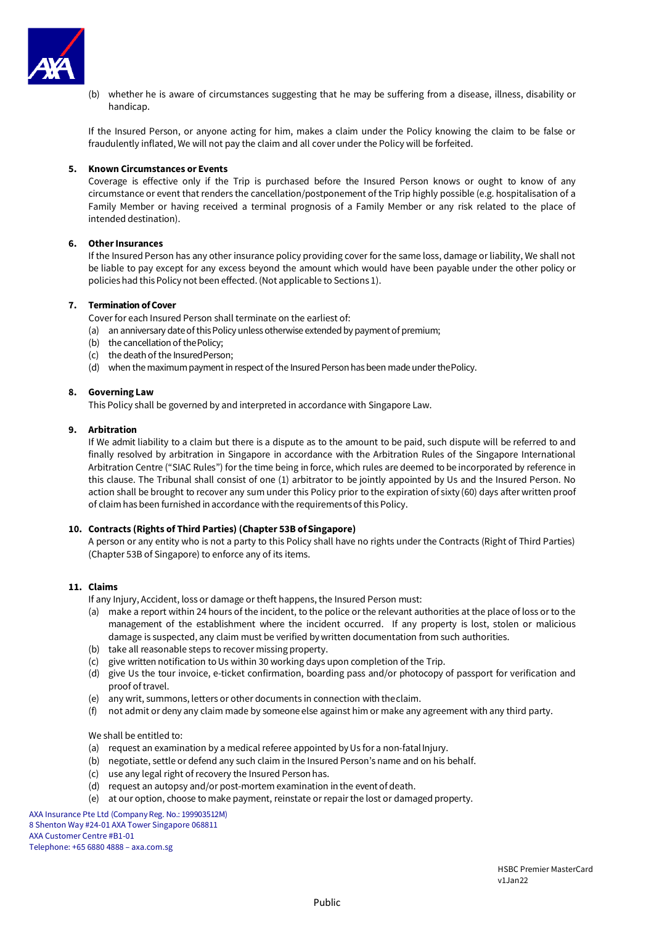

(b) whether he is aware of circumstances suggesting that he may be suffering from a disease, illness, disability or handicap.

If the Insured Person, or anyone acting for him, makes a claim under the Policy knowing the claim to be false or fraudulently inflated, We will not pay the claim and all cover under the Policy will be forfeited.

## **5. Known Circumstances or Events**

Coverage is effective only if the Trip is purchased before the Insured Person knows or ought to know of any circumstance or event that renders the cancellation/postponement of the Trip highly possible (e.g. hospitalisation of a Family Member or having received a terminal prognosis of a Family Member or any risk related to the place of intended destination).

## **6. OtherInsurances**

If the Insured Person has any other insurance policy providing cover for the same loss, damage or liability, We shall not be liable to pay except for any excess beyond the amount which would have been payable under the other policy or policies had this Policy not been effected. (Not applicable to Sections 1).

## **7. Termination ofCover**

Cover for each Insured Person shall terminate on the earliest of:

- (a) an anniversary date of this Policy unless otherwise extended by payment of premium;
- (b) the cancellation of thePolicy;
- (c) the death of the InsuredPerson;
- (d) when the maximum payment in respect of the Insured Person has been made under thePolicy.

## **8. Governing Law**

This Policy shall be governed by and interpreted in accordance with Singapore Law.

## **9. Arbitration**

If We admit liability to a claim but there is a dispute as to the amount to be paid, such dispute will be referred to and finally resolved by arbitration in Singapore in accordance with the Arbitration Rules of the Singapore International Arbitration Centre ("SIAC Rules") for the time being in force, which rules are deemed to be incorporated by reference in this clause. The Tribunal shall consist of one (1) arbitrator to be jointly appointed by Us and the Insured Person. No action shall be brought to recover any sum under this Policy prior to the expiration of sixty (60) days after written proof of claim has been furnished in accordance with the requirements of this Policy.

## **10. Contracts (Rights of Third Parties) (Chapter 53B ofSingapore)**

A person or any entity who is not a party to this Policy shall have no rights under the Contracts (Right of Third Parties) (Chapter 53B of Singapore) to enforce any of its items.

## **11. Claims**

- If any Injury, Accident, loss or damage or theft happens, the Insured Person must:
- (a) make a report within 24 hours of the incident, to the police or the relevant authorities at the place of loss or to the management of the establishment where the incident occurred. If any property is lost, stolen or malicious damage is suspected, any claim must be verified by written documentation from such authorities.
- (b) take all reasonable steps to recover missing property.
- (c) give written notification to Us within 30 working days upon completion of the Trip.
- (d) give Us the tour invoice, e-ticket confirmation, boarding pass and/or photocopy of passport for verification and proof of travel.
- (e) any writ, summons, letters or other documents in connection with theclaim.
- (f) not admit or deny any claim made by someone else against him or make any agreement with any third party.

## We shall be entitled to:

- (a) request an examination by a medical referee appointed by Us for a non-fatal Injury.
- (b) negotiate, settle or defend any such claim in the Insured Person's name and on his behalf.
- (c) use any legal right of recovery the Insured Personhas.
- (d) request an autopsy and/or post-mortem examination in the event of death.
- (e) at our option, choose to make payment, reinstate or repair the lost or damaged property.